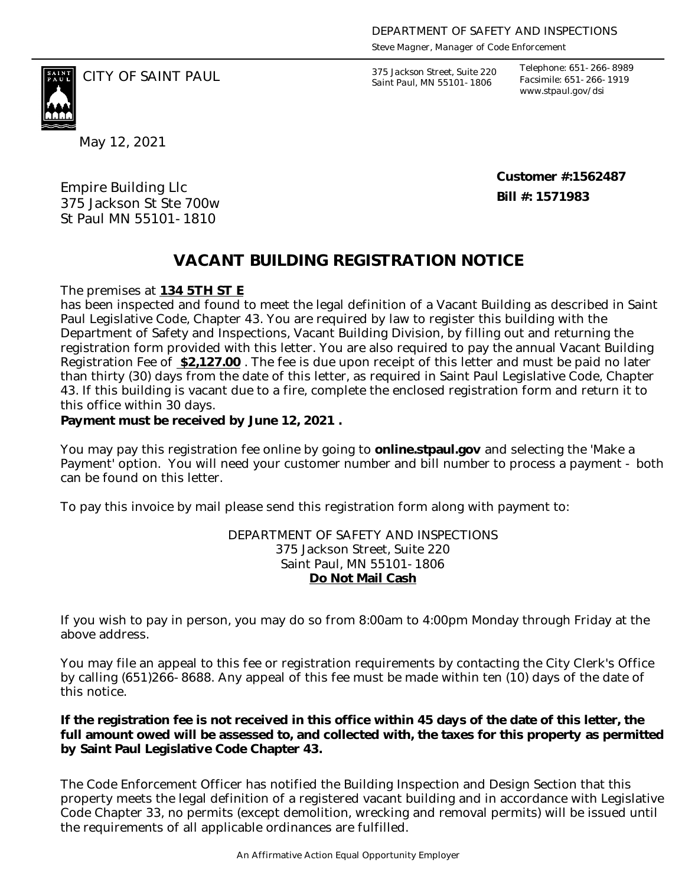*Steve Magner, Manager of Code Enforcement*

375 Jackson Street, Suite 220 *Saint Paul, MN 55101-1806*

*Telephone: 651-266-8989 Facsimile: 651-266-1919 www.stpaul.gov/dsi*

CITY OF SAINT PAUL *375 Jackson Street, Suite 220* 

May 12, 2021

Empire Building Llc 375 Jackson St Ste 700w St Paul MN 55101-1810

**Customer #:1562487 Bill #: 1571983**

## **VACANT BUILDING REGISTRATION NOTICE**

The premises at **134 5TH ST E**

has been inspected and found to meet the legal definition of a Vacant Building as described in Saint Paul Legislative Code, Chapter 43. You are required by law to register this building with the Department of Safety and Inspections, Vacant Building Division, by filling out and returning the registration form provided with this letter. You are also required to pay the annual Vacant Building Registration Fee of **\$2,127.00** . The fee is due upon receipt of this letter and must be paid no later than thirty (30) days from the date of this letter, as required in Saint Paul Legislative Code, Chapter 43. If this building is vacant due to a fire, complete the enclosed registration form and return it to this office within 30 days.

**Payment must be received by June 12, 2021 .** 

You may pay this registration fee online by going to **online.stpaul.gov** and selecting the 'Make a Payment' option. You will need your customer number and bill number to process a payment - both can be found on this letter.

To pay this invoice by mail please send this registration form along with payment to:

DEPARTMENT OF SAFETY AND INSPECTIONS 375 Jackson Street, Suite 220 Saint Paul, MN 55101-1806 **Do Not Mail Cash**

If you wish to pay in person, you may do so from 8:00am to 4:00pm Monday through Friday at the above address.

You may file an appeal to this fee or registration requirements by contacting the City Clerk's Office by calling (651)266-8688. Any appeal of this fee must be made within ten (10) days of the date of this notice.

**If the registration fee is not received in this office within 45 days of the date of this letter, the full amount owed will be assessed to, and collected with, the taxes for this property as permitted by Saint Paul Legislative Code Chapter 43.**

The Code Enforcement Officer has notified the Building Inspection and Design Section that this property meets the legal definition of a registered vacant building and in accordance with Legislative Code Chapter 33, no permits (except demolition, wrecking and removal permits) will be issued until the requirements of all applicable ordinances are fulfilled.